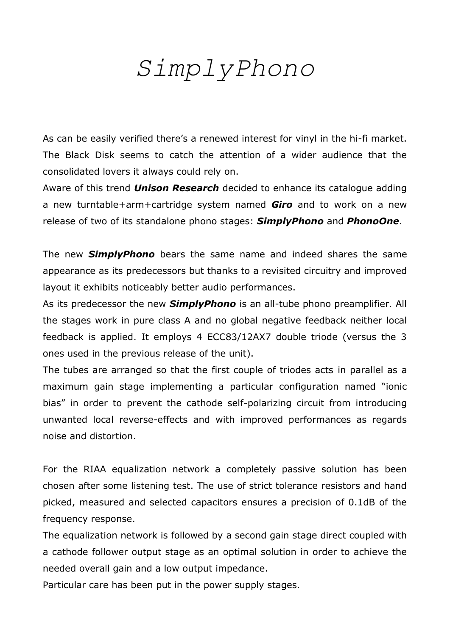## *SimplyPhono*

As can be easily verified there's a renewed interest for vinyl in the hi-fi market. The Black Disk seems to catch the attention of a wider audience that the consolidated lovers it always could rely on.

Aware of this trend *Unison Research* decided to enhance its catalogue adding a new turntable+arm+cartridge system named *Giro* and to work on a new release of two of its standalone phono stages: *SimplyPhono* and *PhonoOne*.

The new *SimplyPhono* bears the same name and indeed shares the same appearance as its predecessors but thanks to a revisited circuitry and improved layout it exhibits noticeably better audio performances.

As its predecessor the new *SimplyPhono* is an all-tube phono preamplifier. All the stages work in pure class A and no global negative feedback neither local feedback is applied. It employs 4 ECC83/12AX7 double triode (versus the 3 ones used in the previous release of the unit).

The tubes are arranged so that the first couple of triodes acts in parallel as a maximum gain stage implementing a particular configuration named "ionic bias" in order to prevent the cathode self-polarizing circuit from introducing unwanted local reverse-effects and with improved performances as regards noise and distortion.

For the RIAA equalization network a completely passive solution has been chosen after some listening test. The use of strict tolerance resistors and hand picked, measured and selected capacitors ensures a precision of 0.1dB of the frequency response.

The equalization network is followed by a second gain stage direct coupled with a cathode follower output stage as an optimal solution in order to achieve the needed overall gain and a low output impedance.

Particular care has been put in the power supply stages.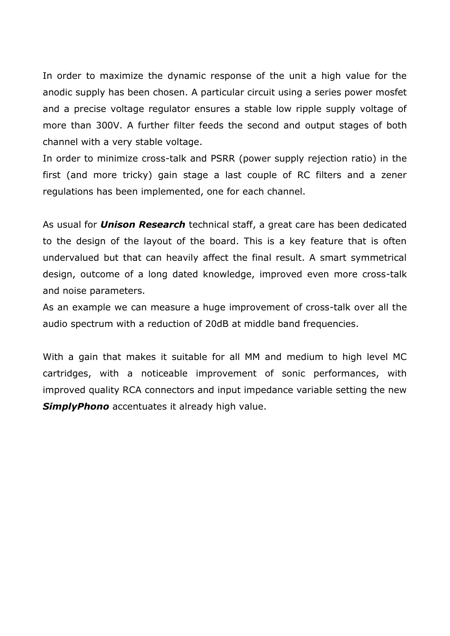In order to maximize the dynamic response of the unit a high value for the anodic supply has been chosen. A particular circuit using a series power mosfet and a precise voltage regulator ensures a stable low ripple supply voltage of more than 300V. A further filter feeds the second and output stages of both channel with a very stable voltage.

In order to minimize cross-talk and PSRR (power supply rejection ratio) in the first (and more tricky) gain stage a last couple of RC filters and a zener regulations has been implemented, one for each channel.

As usual for *Unison Research* technical staff, a great care has been dedicated to the design of the layout of the board. This is a key feature that is often undervalued but that can heavily affect the final result. A smart symmetrical design, outcome of a long dated knowledge, improved even more cross-talk and noise parameters.

As an example we can measure a huge improvement of cross-talk over all the audio spectrum with a reduction of 20dB at middle band frequencies.

With a gain that makes it suitable for all MM and medium to high level MC cartridges, with a noticeable improvement of sonic performances, with improved quality RCA connectors and input impedance variable setting the new **SimplyPhono** accentuates it already high value.